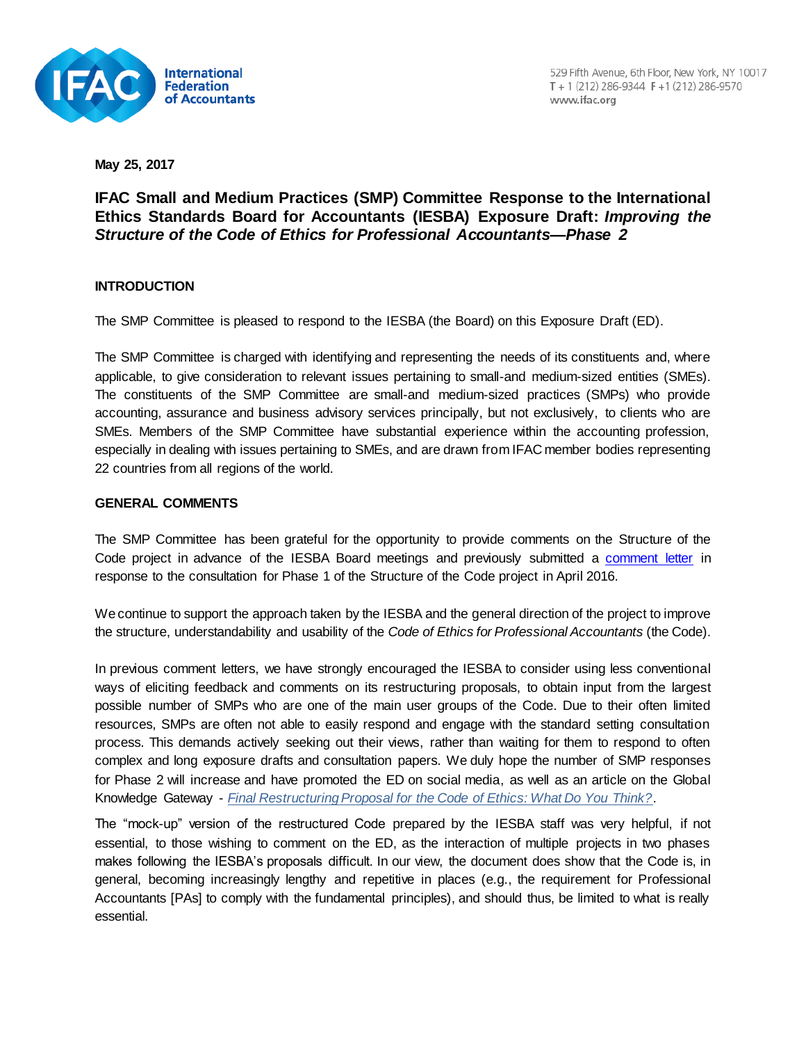

**May 25, 2017**

# **IFAC Small and Medium Practices (SMP) Committee Response to the International Ethics Standards Board for Accountants (IESBA) Exposure Draft:** *Improving the Structure of the Code of Ethics for Professional Accountants—Phase 2***t**

# **INTRODUCTION**

The SMP Committee is pleased to respond to the IESBA (the Board) on this Exposure Draft (ED).

The SMP Committee is charged with identifying and representing the needs of its constituents and, where applicable, to give consideration to relevant issues pertaining to small-and medium-sized entities (SMEs). The constituents of the SMP Committee are small-and medium-sized practices (SMPs) who provide accounting, assurance and business advisory services principally, but not exclusively, to clients who are SMEs. Members of the SMP Committee have substantial experience within the accounting profession, especially in dealing with issues pertaining to SMEs, and are drawn from IFAC member bodies representing 22 countries from all regions of the world.

# **GENERAL COMMENTS**

The SMP Committee has been grateful for the opportunity to provide comments on the Structure of the Code project in advance of the IESBA Board meetings and previously submitted a [comment letter](http://www.ifac.org/publications-resources/ifac-small-and-medium-practices-smp-committee-response-international-ethics-0) in response to the consultation for Phase 1 of the Structure of the Code project in April 2016.

We continue to support the approach taken by the IESBA and the general direction of the project to improve the structure, understandability and usability of the *Code of Ethics for Professional Accountants* (the Code).

In previous comment letters, we have strongly encouraged the IESBA to consider using less conventional ways of eliciting feedback and comments on its restructuring proposals, to obtain input from the largest possible number of SMPs who are one of the main user groups of the Code. Due to their often limited resources, SMPs are often not able to easily respond and engage with the standard setting consultation process. This demands actively seeking out their views, rather than waiting for them to respond to often complex and long exposure drafts and consultation papers. We duly hope the number of SMP responses for Phase 2 will increase and have promoted the ED on social media, as well as an article on the Global Knowledge Gateway - *[Final Restructuring Proposal for the Code of Ethics: What Do You Think?](http://www.ifac.org/global-knowledge-gateway/ethics/discussion/final-restructuring-proposal-code-ethics-what-do-you)*.

The "mock-up" version of the restructured Code prepared by the IESBA staff was very helpful, if not essential, to those wishing to comment on the ED, as the interaction of multiple projects in two phases makes following the IESBA's proposals difficult. In our view, the document does show that the Code is, in general, becoming increasingly lengthy and repetitive in places (e.g., the requirement for Professional Accountants [PAs] to comply with the fundamental principles), and should thus, be limited to what is really essential.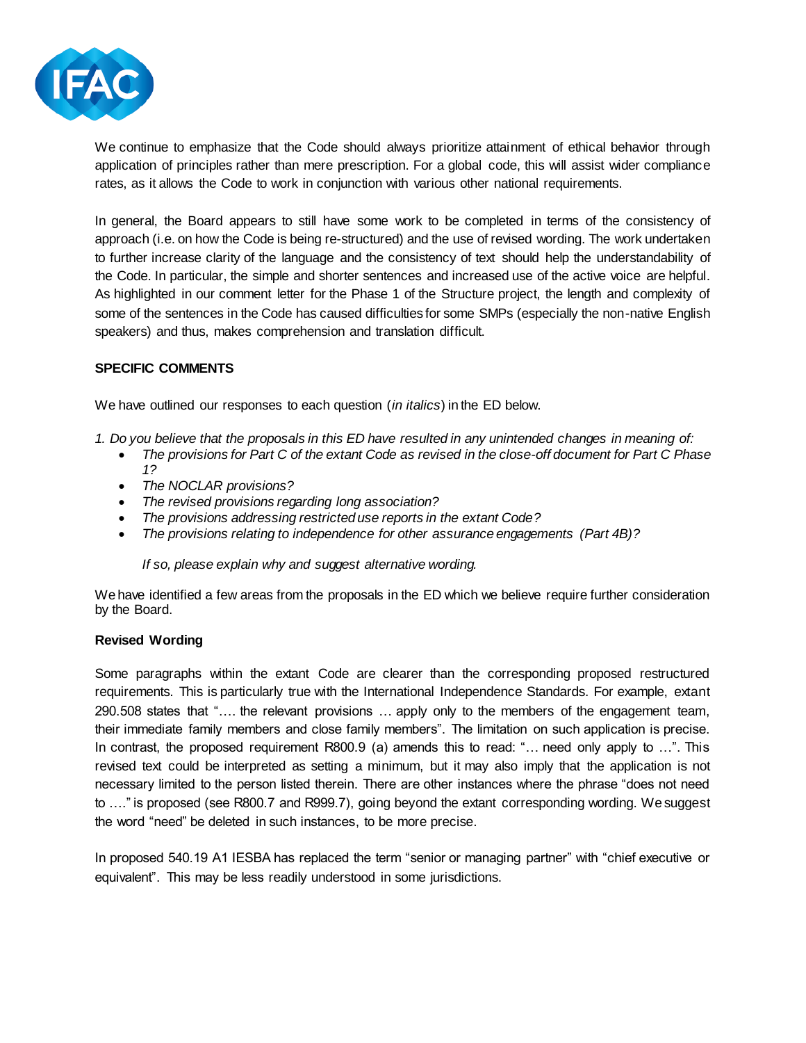

We continue to emphasize that the Code should always prioritize attainment of ethical behavior through application of principles rather than mere prescription. For a global code, this will assist wider compliance rates, as it allows the Code to work in conjunction with various other national requirements.

In general, the Board appears to still have some work to be completed in terms of the consistency of approach (i.e. on how the Code is being re-structured) and the use of revised wording. The work undertaken to further increase clarity of the language and the consistency of text should help the understandability of the Code. In particular, the simple and shorter sentences and increased use of the active voice are helpful. As highlighted in our comment letter for the Phase 1 of the Structure project, the length and complexity of some of the sentences in the Code has caused difficulties for some SMPs (especially the non-native English speakers) and thus, makes comprehension and translation difficult.

# **SPECIFIC COMMENTS**

We have outlined our responses to each question (*in italics*) in the ED below.

- *1. Do you believe that the proposals in this ED have resulted in any unintended changes in meaning of:*
	- *The provisions for Part C of the extant Code as revised in the close-off document for Part C Phase 1?*
	- *The NOCLAR provisions?*
	- *The revised provisions regarding long association?*
	- *The provisions addressing restricted use reports in the extant Code?*
	- *The provisions relating to independence for other assurance engagements (Part 4B)?*

*If so, please explain why and suggest alternative wording.*

We have identified a few areas from the proposals in the ED which we believe require further consideration by the Board.

#### **Revised Wording**

Some paragraphs within the extant Code are clearer than the corresponding proposed restructured requirements. This is particularly true with the International Independence Standards. For example, extant 290.508 states that "…. the relevant provisions … apply only to the members of the engagement team, their immediate family members and close family members". The limitation on such application is precise. In contrast, the proposed requirement R800.9 (a) amends this to read: "… need only apply to …". This revised text could be interpreted as setting a minimum, but it may also imply that the application is not necessary limited to the person listed therein. There are other instances where the phrase "does not need to …." is proposed (see R800.7 and R999.7), going beyond the extant corresponding wording. We suggest the word "need" be deleted in such instances, to be more precise.

In proposed 540.19 A1 IESBA has replaced the term "senior or managing partner" with "chief executive or equivalent". This may be less readily understood in some jurisdictions.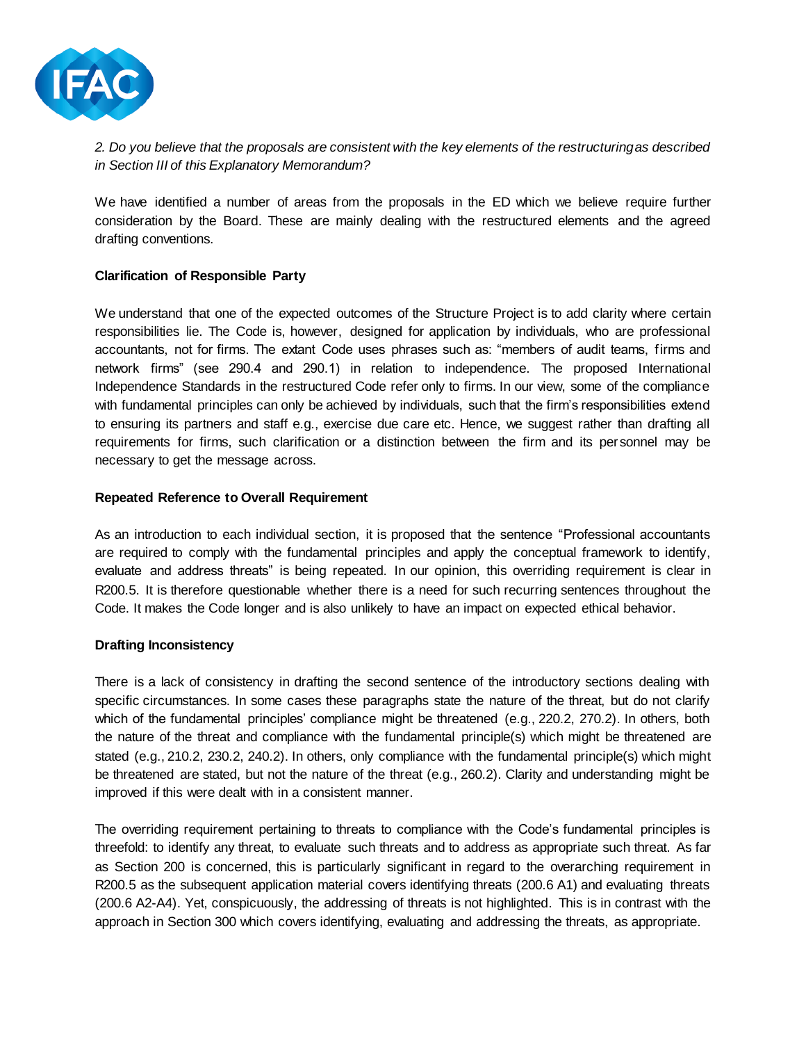

# *2. Do you believe that the proposals are consistent with the key elements of the restructuring as described in Section III of this Explanatory Memorandum?*

We have identified a number of areas from the proposals in the ED which we believe require further consideration by the Board. These are mainly dealing with the restructured elements and the agreed drafting conventions.

# **Clarification of Responsible Party**

We understand that one of the expected outcomes of the Structure Project is to add clarity where certain responsibilities lie. The Code is, however, designed for application by individuals, who are professional accountants, not for firms. The extant Code uses phrases such as: "members of audit teams, firms and network firms" (see 290.4 and 290.1) in relation to independence. The proposed International Independence Standards in the restructured Code refer only to firms. In our view, some of the compliance with fundamental principles can only be achieved by individuals, such that the firm's responsibilities extend to ensuring its partners and staff e.g., exercise due care etc. Hence, we suggest rather than drafting all requirements for firms, such clarification or a distinction between the firm and its personnel may be necessary to get the message across.

# **Repeated Reference to Overall Requirement**

As an introduction to each individual section, it is proposed that the sentence "Professional accountants are required to comply with the fundamental principles and apply the conceptual framework to identify, evaluate and address threats" is being repeated. In our opinion, this overriding requirement is clear in R200.5. It is therefore questionable whether there is a need for such recurring sentences throughout the Code. It makes the Code longer and is also unlikely to have an impact on expected ethical behavior.

# **Drafting Inconsistency**

There is a lack of consistency in drafting the second sentence of the introductory sections dealing with specific circumstances. In some cases these paragraphs state the nature of the threat, but do not clarify which of the fundamental principles' compliance might be threatened (e.g., 220.2, 270.2). In others, both the nature of the threat and compliance with the fundamental principle(s) which might be threatened are stated (e.g., 210.2, 230.2, 240.2). In others, only compliance with the fundamental principle(s) which might be threatened are stated, but not the nature of the threat (e.g., 260.2). Clarity and understanding might be improved if this were dealt with in a consistent manner.

The overriding requirement pertaining to threats to compliance with the Code's fundamental principles is threefold: to identify any threat, to evaluate such threats and to address as appropriate such threat. As far as Section 200 is concerned, this is particularly significant in regard to the overarching requirement in R200.5 as the subsequent application material covers identifying threats (200.6 A1) and evaluating threats (200.6 A2-A4). Yet, conspicuously, the addressing of threats is not highlighted. This is in contrast with the approach in Section 300 which covers identifying, evaluating and addressing the threats, as appropriate.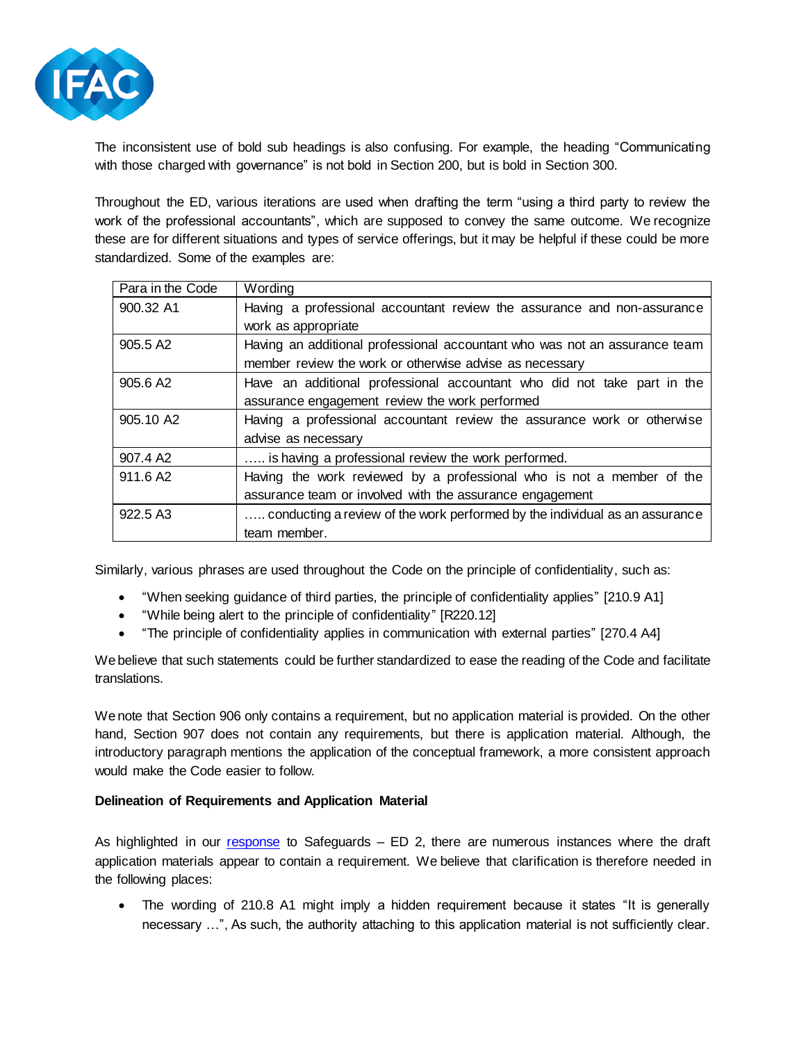

The inconsistent use of bold sub headings is also confusing. For example, the heading "Communicating with those charged with governance" is not bold in Section 200, but is bold in Section 300.

Throughout the ED, various iterations are used when drafting the term "using a third party to review the work of the professional accountants", which are supposed to convey the same outcome. We recognize these are for different situations and types of service offerings, but it may be helpful if these could be more standardized. Some of the examples are:

| Para in the Code      | Wording                                                                     |
|-----------------------|-----------------------------------------------------------------------------|
| 900.32 A1             | Having a professional accountant review the assurance and non-assurance     |
|                       | work as appropriate                                                         |
| 905.5 A <sub>2</sub>  | Having an additional professional accountant who was not an assurance team  |
|                       | member review the work or otherwise advise as necessary                     |
| 905.6 A2              | Have an additional professional accountant who did not take part in the     |
|                       | assurance engagement review the work performed                              |
| 905.10 A <sub>2</sub> | Having a professional accountant review the assurance work or otherwise     |
|                       | advise as necessary                                                         |
| 907.4 A2              | is having a professional review the work performed.                         |
| 911.6 A <sub>2</sub>  | Having the work reviewed by a professional who is not a member of the       |
|                       | assurance team or involved with the assurance engagement                    |
| 922.5 A3              | conducting a review of the work performed by the individual as an assurance |
|                       | team member.                                                                |

Similarly, various phrases are used throughout the Code on the principle of confidentiality, such as:

- "When seeking guidance of third parties, the principle of confidentiality applies" [210.9 A1]
- "While being alert to the principle of confidentiality" [R220.12]
- "The principle of confidentiality applies in communication with external parties" [270.4 A4]

We believe that such statements could be further standardized to ease the reading of the Code and facilitate translations.

We note that Section 906 only contains a requirement, but no application material is provided. On the other hand, Section 907 does not contain any requirements, but there is application material. Although, the introductory paragraph mentions the application of the conceptual framework, a more consistent approach would make the Code easier to follow.

# **Delineation of Requirements and Application Material**

As highlighted in our [response](http://www.ifac.org/publications-resources/smp-committee-response-iesba-exposure-draft-safeguards) to Safeguards – ED 2, there are numerous instances where the draft application materials appear to contain a requirement. We believe that clarification is therefore needed in the following places:

• The wording of 210.8 A1 might imply a hidden requirement because it states "It is generally necessary …", As such, the authority attaching to this application material is not sufficiently clear.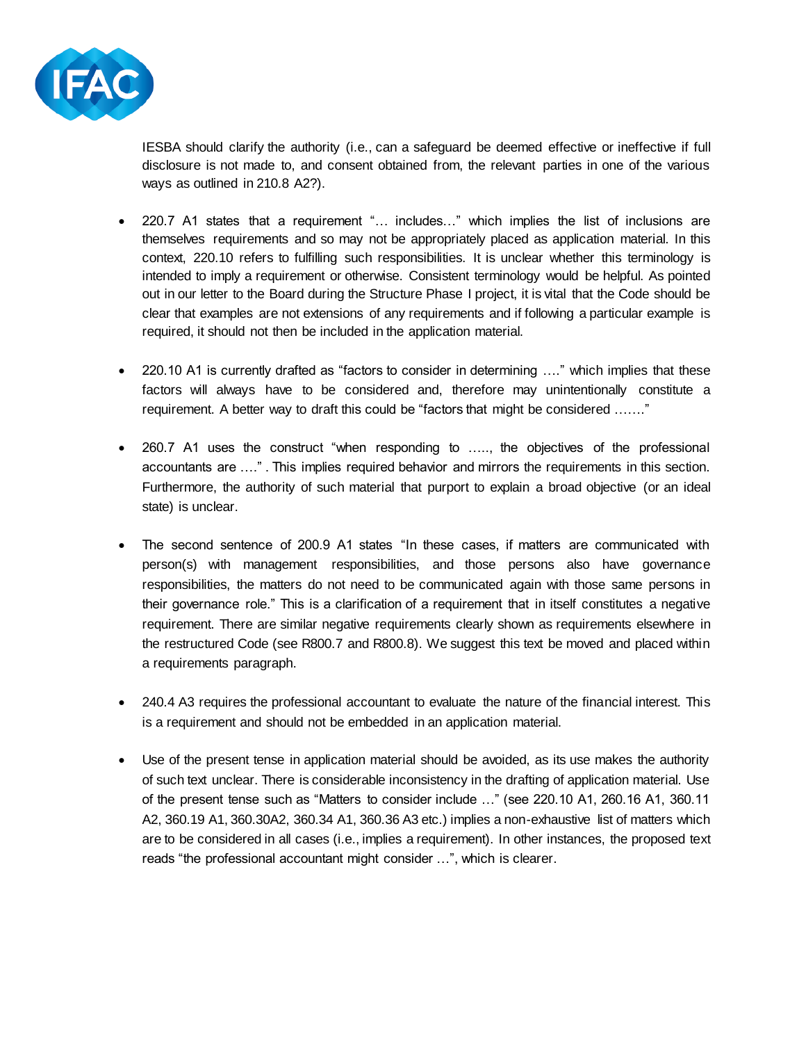

IESBA should clarify the authority (i.e., can a safeguard be deemed effective or ineffective if full disclosure is not made to, and consent obtained from, the relevant parties in one of the various ways as outlined in 210.8 A2?).

- 220.7 A1 states that a requirement "... includes..." which implies the list of inclusions are themselves requirements and so may not be appropriately placed as application material. In this context, 220.10 refers to fulfilling such responsibilities. It is unclear whether this terminology is intended to imply a requirement or otherwise. Consistent terminology would be helpful. As pointed out in our letter to the Board during the Structure Phase I project, it is vital that the Code should be clear that examples are not extensions of any requirements and if following a particular example is required, it should not then be included in the application material.
- 220.10 A1 is currently drafted as "factors to consider in determining ...." which implies that these factors will always have to be considered and, therefore may unintentionally constitute a requirement. A better way to draft this could be "factors that might be considered ……."
- 260.7 A1 uses the construct "when responding to ....., the objectives of the professional accountants are …." . This implies required behavior and mirrors the requirements in this section. Furthermore, the authority of such material that purport to explain a broad objective (or an ideal state) is unclear.
- The second sentence of 200.9 A1 states "In these cases, if matters are communicated with person(s) with management responsibilities, and those persons also have governance responsibilities, the matters do not need to be communicated again with those same persons in their governance role." This is a clarification of a requirement that in itself constitutes a negative requirement. There are similar negative requirements clearly shown as requirements elsewhere in the restructured Code (see R800.7 and R800.8). We suggest this text be moved and placed within a requirements paragraph.
- 240.4 A3 requires the professional accountant to evaluate the nature of the financial interest. This is a requirement and should not be embedded in an application material.
- Use of the present tense in application material should be avoided, as its use makes the authority of such text unclear. There is considerable inconsistency in the drafting of application material. Use of the present tense such as "Matters to consider include …" (see 220.10 A1, 260.16 A1, 360.11 A2, 360.19 A1, 360.30A2, 360.34 A1, 360.36 A3 etc.) implies a non-exhaustive list of matters which are to be considered in all cases (i.e., implies a requirement). In other instances, the proposed text reads "the professional accountant might consider …", which is clearer.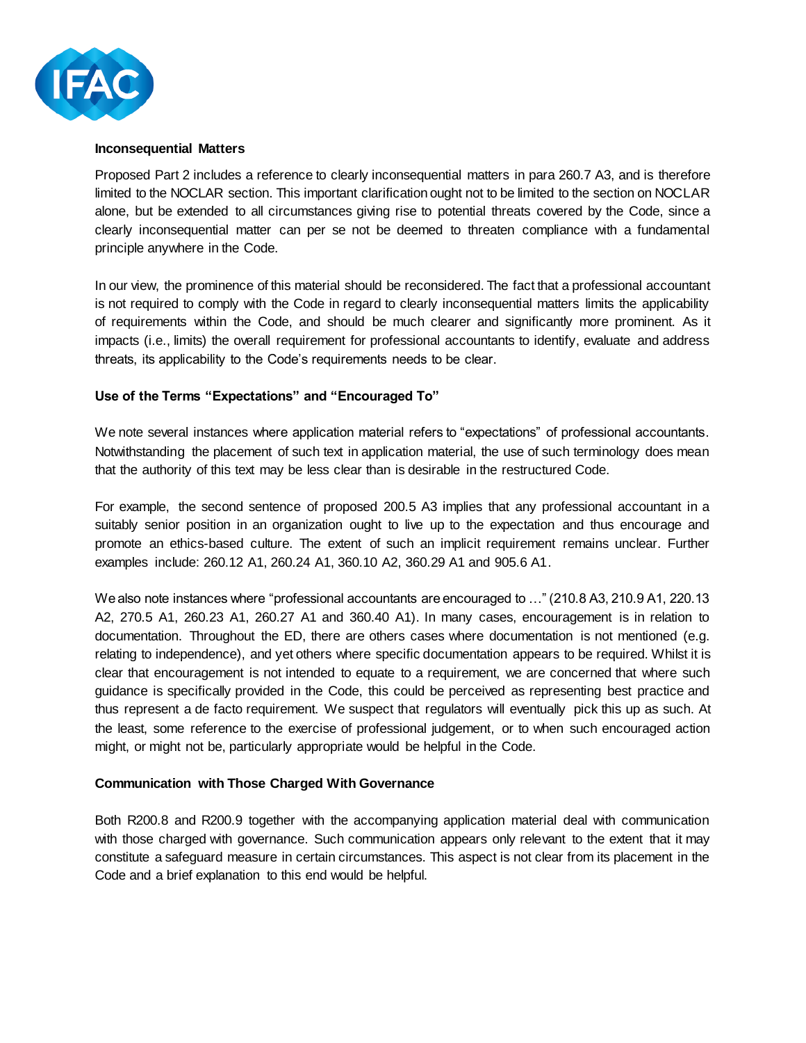

#### **Inconsequential Matters**

Proposed Part 2 includes a reference to clearly inconsequential matters in para 260.7 A3, and is therefore limited to the NOCLAR section. This important clarification ought not to be limited to the section on NOCLAR alone, but be extended to all circumstances giving rise to potential threats covered by the Code, since a clearly inconsequential matter can per se not be deemed to threaten compliance with a fundamental principle anywhere in the Code.

In our view, the prominence of this material should be reconsidered. The fact that a professional accountant is not required to comply with the Code in regard to clearly inconsequential matters limits the applicability of requirements within the Code, and should be much clearer and significantly more prominent. As it impacts (i.e., limits) the overall requirement for professional accountants to identify, evaluate and address threats, its applicability to the Code's requirements needs to be clear.

### **Use of the Terms "Expectations" and "Encouraged To"**

We note several instances where application material refers to "expectations" of professional accountants. Notwithstanding the placement of such text in application material, the use of such terminology does mean that the authority of this text may be less clear than is desirable in the restructured Code.

For example, the second sentence of proposed 200.5 A3 implies that any professional accountant in a suitably senior position in an organization ought to live up to the expectation and thus encourage and promote an ethics-based culture. The extent of such an implicit requirement remains unclear. Further examples include: 260.12 A1, 260.24 A1, 360.10 A2, 360.29 A1 and 905.6 A1.

We also note instances where "professional accountants are encouraged to …" (210.8 A3, 210.9 A1, 220.13 A2, 270.5 A1, 260.23 A1, 260.27 A1 and 360.40 A1). In many cases, encouragement is in relation to documentation. Throughout the ED, there are others cases where documentation is not mentioned (e.g. relating to independence), and yet others where specific documentation appears to be required. Whilst it is clear that encouragement is not intended to equate to a requirement, we are concerned that where such guidance is specifically provided in the Code, this could be perceived as representing best practice and thus represent a de facto requirement. We suspect that regulators will eventually pick this up as such. At the least, some reference to the exercise of professional judgement, or to when such encouraged action might, or might not be, particularly appropriate would be helpful in the Code.

#### **Communication with Those Charged With Governance**

Both R200.8 and R200.9 together with the accompanying application material deal with communication with those charged with governance. Such communication appears only relevant to the extent that it may constitute a safeguard measure in certain circumstances. This aspect is not clear from its placement in the Code and a brief explanation to this end would be helpful.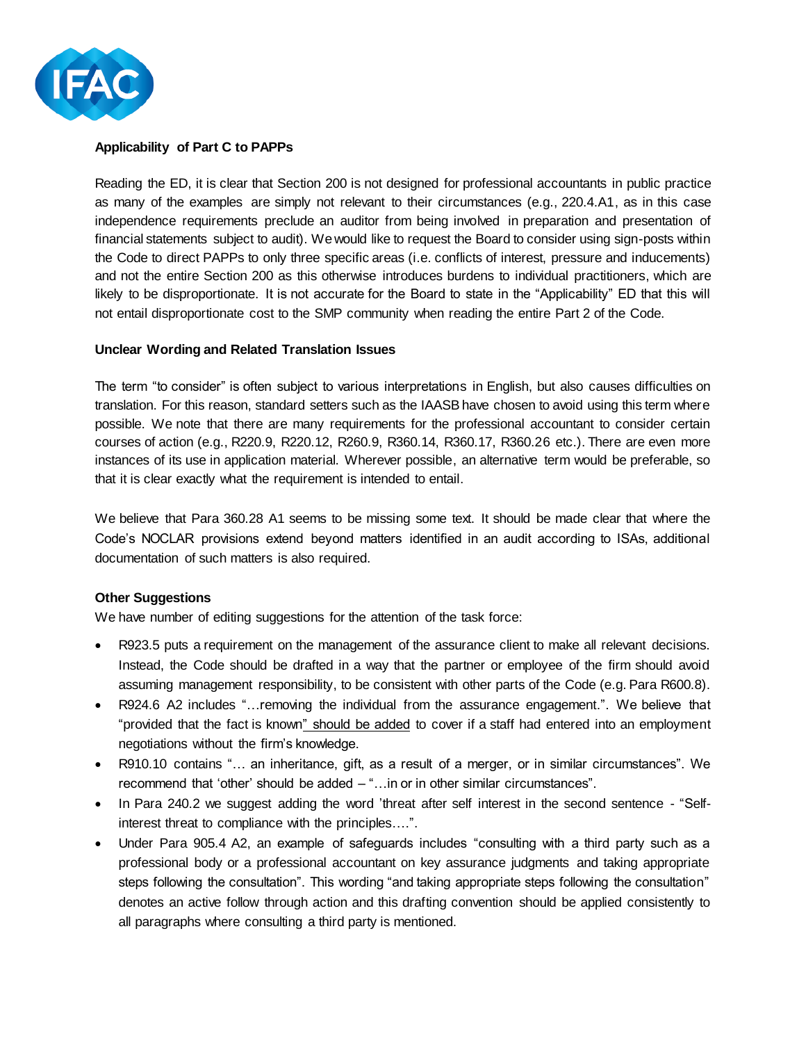

# **Applicability of Part C to PAPPs**

Reading the ED, it is clear that Section 200 is not designed for professional accountants in public practice as many of the examples are simply not relevant to their circumstances (e.g., 220.4.A1, as in this case independence requirements preclude an auditor from being involved in preparation and presentation of financial statements subject to audit). We would like to request the Board to consider using sign-posts within the Code to direct PAPPs to only three specific areas (i.e. conflicts of interest, pressure and inducements) and not the entire Section 200 as this otherwise introduces burdens to individual practitioners, which are likely to be disproportionate. It is not accurate for the Board to state in the "Applicability" ED that this will not entail disproportionate cost to the SMP community when reading the entire Part 2 of the Code.

#### **Unclear Wording and Related Translation Issues**

The term "to consider" is often subject to various interpretations in English, but also causes difficulties on translation. For this reason, standard setters such as the IAASB have chosen to avoid using this term where possible. We note that there are many requirements for the professional accountant to consider certain courses of action (e.g., R220.9, R220.12, R260.9, R360.14, R360.17, R360.26 etc.). There are even more instances of its use in application material. Wherever possible, an alternative term would be preferable, so that it is clear exactly what the requirement is intended to entail.

We believe that Para 360.28 A1 seems to be missing some text. It should be made clear that where the Code's NOCLAR provisions extend beyond matters identified in an audit according to ISAs, additional documentation of such matters is also required.

#### **Other Suggestions**

We have number of editing suggestions for the attention of the task force:

- R923.5 puts a requirement on the management of the assurance client to make all relevant decisions. Instead, the Code should be drafted in a way that the partner or employee of the firm should avoid assuming management responsibility, to be consistent with other parts of the Code (e.g. Para R600.8).
- R924.6 A2 includes "…removing the individual from the assurance engagement.". We believe that "provided that the fact is known" should be added to cover if a staff had entered into an employment negotiations without the firm's knowledge.
- R910.10 contains "… an inheritance, gift, as a result of a merger, or in similar circumstances". We recommend that 'other' should be added – "…in or in other similar circumstances".
- In Para 240.2 we suggest adding the word 'threat after self interest in the second sentence "Selfinterest threat to compliance with the principles….".
- Under Para 905.4 A2, an example of safeguards includes "consulting with a third party such as a professional body or a professional accountant on key assurance judgments and taking appropriate steps following the consultation". This wording "and taking appropriate steps following the consultation" denotes an active follow through action and this drafting convention should be applied consistently to all paragraphs where consulting a third party is mentioned.